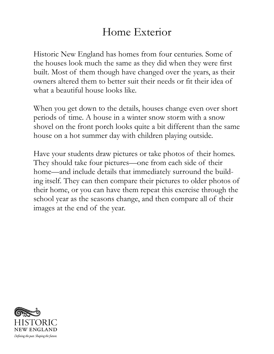## Home Exterior

Historic New England has homes from four centuries. Some of the houses look much the same as they did when they were first built. Most of them though have changed over the years, as their owners altered them to better suit their needs or fit their idea of what a beautiful house looks like.

When you get down to the details, houses change even over short periods of time. A house in a winter snow storm with a snow shovel on the front porch looks quite a bit different than the same house on a hot summer day with children playing outside.

Have your students draw pictures or take photos of their homes. They should take four pictures—one from each side of their home—and include details that immediately surround the building itself. They can then compare their pictures to older photos of their home, or you can have them repeat this exercise through the school year as the seasons change, and then compare all of their images at the end of the year.